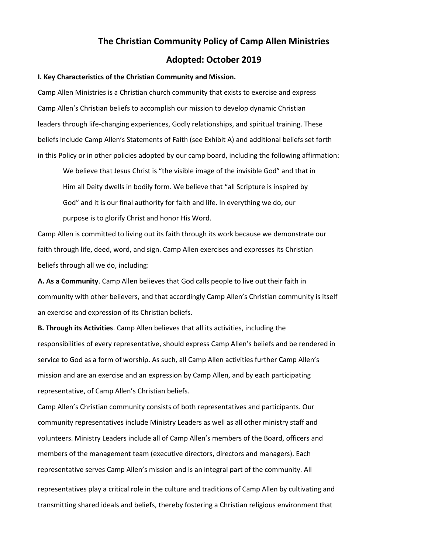# **The Christian Community Policy of Camp Allen Ministries Adopted: October 2019**

#### **I. Key Characteristics of the Christian Community and Mission.**

Camp Allen Ministries is a Christian church community that exists to exercise and express Camp Allen's Christian beliefs to accomplish our mission to develop dynamic Christian leaders through life-changing experiences, Godly relationships, and spiritual training. These beliefs include Camp Allen's Statements of Faith (see Exhibit A) and additional beliefs set forth in this Policy or in other policies adopted by our camp board, including the following affirmation:

We believe that Jesus Christ is "the visible image of the invisible God" and that in Him all Deity dwells in bodily form. We believe that "all Scripture is inspired by God" and it is our final authority for faith and life. In everything we do, our purpose is to glorify Christ and honor His Word.

Camp Allen is committed to living out its faith through its work because we demonstrate our faith through life, deed, word, and sign. Camp Allen exercises and expresses its Christian beliefs through all we do, including:

**A. As a Community**. Camp Allen believes that God calls people to live out their faith in community with other believers, and that accordingly Camp Allen's Christian community is itself an exercise and expression of its Christian beliefs.

**B. Through its Activities**. Camp Allen believes that all its activities, including the responsibilities of every representative, should express Camp Allen's beliefs and be rendered in service to God as a form of worship. As such, all Camp Allen activities further Camp Allen's mission and are an exercise and an expression by Camp Allen, and by each participating representative, of Camp Allen's Christian beliefs.

Camp Allen's Christian community consists of both representatives and participants. Our community representatives include Ministry Leaders as well as all other ministry staff and volunteers. Ministry Leaders include all of Camp Allen's members of the Board, officers and members of the management team (executive directors, directors and managers). Each representative serves Camp Allen's mission and is an integral part of the community. All

representatives play a critical role in the culture and traditions of Camp Allen by cultivating and transmitting shared ideals and beliefs, thereby fostering a Christian religious environment that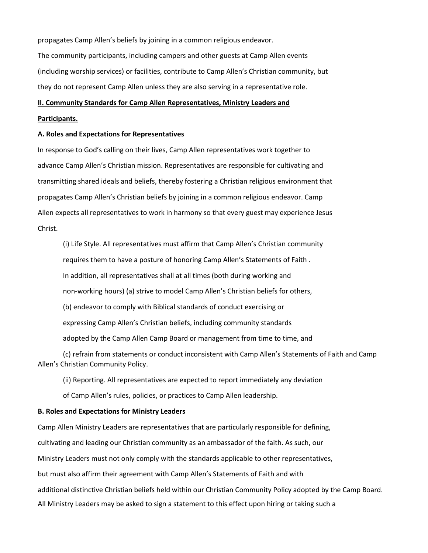propagates Camp Allen's beliefs by joining in a common religious endeavor.

The community participants, including campers and other guests at Camp Allen events (including worship services) or facilities, contribute to Camp Allen's Christian community, but they do not represent Camp Allen unless they are also serving in a representative role.

# **II. Community Standards for Camp Allen Representatives, Ministry Leaders and**

# **Participants.**

## **A. Roles and Expectations for Representatives**

In response to God's calling on their lives, Camp Allen representatives work together to advance Camp Allen's Christian mission. Representatives are responsible for cultivating and transmitting shared ideals and beliefs, thereby fostering a Christian religious environment that propagates Camp Allen's Christian beliefs by joining in a common religious endeavor. Camp Allen expects all representatives to work in harmony so that every guest may experience Jesus Christ.

(i) Life Style. All representatives must affirm that Camp Allen's Christian community requires them to have a posture of honoring Camp Allen's Statements of Faith . In addition, all representatives shall at all times (both during working and non-working hours) (a) strive to model Camp Allen's Christian beliefs for others, (b) endeavor to comply with Biblical standards of conduct exercising or expressing Camp Allen's Christian beliefs, including community standards adopted by the Camp Allen Camp Board or management from time to time, and

(c) refrain from statements or conduct inconsistent with Camp Allen's Statements of Faith and Camp Allen's Christian Community Policy.

(ii) Reporting. All representatives are expected to report immediately any deviation

of Camp Allen's rules, policies, or practices to Camp Allen leadership.

# **B. Roles and Expectations for Ministry Leaders**

Camp Allen Ministry Leaders are representatives that are particularly responsible for defining, cultivating and leading our Christian community as an ambassador of the faith. As such, our Ministry Leaders must not only comply with the standards applicable to other representatives, but must also affirm their agreement with Camp Allen's Statements of Faith and with additional distinctive Christian beliefs held within our Christian Community Policy adopted by the Camp Board. All Ministry Leaders may be asked to sign a statement to this effect upon hiring or taking such a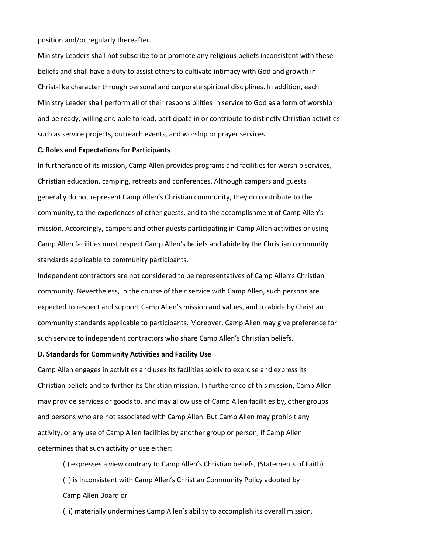position and/or regularly thereafter.

Ministry Leaders shall not subscribe to or promote any religious beliefs inconsistent with these beliefs and shall have a duty to assist others to cultivate intimacy with God and growth in Christ-like character through personal and corporate spiritual disciplines. In addition, each Ministry Leader shall perform all of their responsibilities in service to God as a form of worship and be ready, willing and able to lead, participate in or contribute to distinctly Christian activities such as service projects, outreach events, and worship or prayer services.

# **C. Roles and Expectations for Participants**

In furtherance of its mission, Camp Allen provides programs and facilities for worship services, Christian education, camping, retreats and conferences. Although campers and guests generally do not represent Camp Allen's Christian community, they do contribute to the community, to the experiences of other guests, and to the accomplishment of Camp Allen's mission. Accordingly, campers and other guests participating in Camp Allen activities or using Camp Allen facilities must respect Camp Allen's beliefs and abide by the Christian community standards applicable to community participants.

Independent contractors are not considered to be representatives of Camp Allen's Christian community. Nevertheless, in the course of their service with Camp Allen, such persons are expected to respect and support Camp Allen's mission and values, and to abide by Christian community standards applicable to participants. Moreover, Camp Allen may give preference for such service to independent contractors who share Camp Allen's Christian beliefs.

# **D. Standards for Community Activities and Facility Use**

Camp Allen engages in activities and uses its facilities solely to exercise and express its Christian beliefs and to further its Christian mission. In furtherance of this mission, Camp Allen may provide services or goods to, and may allow use of Camp Allen facilities by, other groups and persons who are not associated with Camp Allen. But Camp Allen may prohibit any activity, or any use of Camp Allen facilities by another group or person, if Camp Allen determines that such activity or use either:

(i) expresses a view contrary to Camp Allen's Christian beliefs, (Statements of Faith) (ii) is inconsistent with Camp Allen's Christian Community Policy adopted by Camp Allen Board or

(iii) materially undermines Camp Allen's ability to accomplish its overall mission.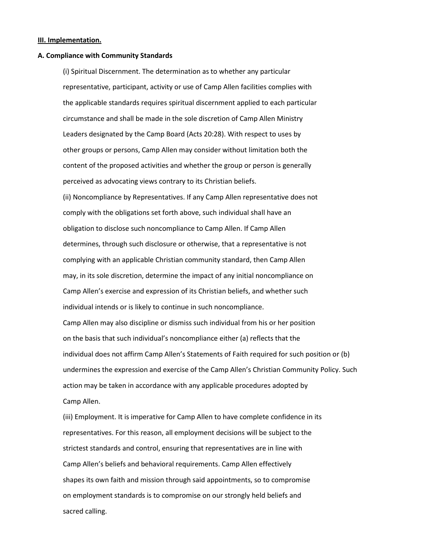#### **III. Implementation.**

#### **A. Compliance with Community Standards**

(i) Spiritual Discernment. The determination as to whether any particular representative, participant, activity or use of Camp Allen facilities complies with the applicable standards requires spiritual discernment applied to each particular circumstance and shall be made in the sole discretion of Camp Allen Ministry Leaders designated by the Camp Board (Acts 20:28). With respect to uses by other groups or persons, Camp Allen may consider without limitation both the content of the proposed activities and whether the group or person is generally perceived as advocating views contrary to its Christian beliefs.

(ii) Noncompliance by Representatives. If any Camp Allen representative does not comply with the obligations set forth above, such individual shall have an obligation to disclose such noncompliance to Camp Allen. If Camp Allen determines, through such disclosure or otherwise, that a representative is not complying with an applicable Christian community standard, then Camp Allen may, in its sole discretion, determine the impact of any initial noncompliance on Camp Allen's exercise and expression of its Christian beliefs, and whether such individual intends or is likely to continue in such noncompliance. Camp Allen may also discipline or dismiss such individual from his or her position on the basis that such individual's noncompliance either (a) reflects that the individual does not affirm Camp Allen's Statements of Faith required for such position or (b) undermines the expression and exercise of the Camp Allen's Christian Community Policy. Such action may be taken in accordance with any applicable procedures adopted by Camp Allen.

(iii) Employment. It is imperative for Camp Allen to have complete confidence in its representatives. For this reason, all employment decisions will be subject to the strictest standards and control, ensuring that representatives are in line with Camp Allen's beliefs and behavioral requirements. Camp Allen effectively shapes its own faith and mission through said appointments, so to compromise on employment standards is to compromise on our strongly held beliefs and sacred calling.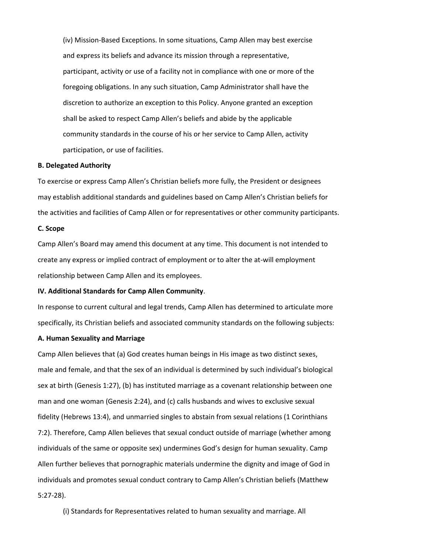(iv) Mission-Based Exceptions. In some situations, Camp Allen may best exercise and express its beliefs and advance its mission through a representative, participant, activity or use of a facility not in compliance with one or more of the foregoing obligations. In any such situation, Camp Administrator shall have the discretion to authorize an exception to this Policy. Anyone granted an exception shall be asked to respect Camp Allen's beliefs and abide by the applicable community standards in the course of his or her service to Camp Allen, activity participation, or use of facilities.

# **B. Delegated Authority**

To exercise or express Camp Allen's Christian beliefs more fully, the President or designees may establish additional standards and guidelines based on Camp Allen's Christian beliefs for the activities and facilities of Camp Allen or for representatives or other community participants.

#### **C. Scope**

Camp Allen's Board may amend this document at any time. This document is not intended to create any express or implied contract of employment or to alter the at-will employment relationship between Camp Allen and its employees.

# **IV. Additional Standards for Camp Allen Community**.

In response to current cultural and legal trends, Camp Allen has determined to articulate more specifically, its Christian beliefs and associated community standards on the following subjects:

# **A. Human Sexuality and Marriage**

Camp Allen believes that (a) God creates human beings in His image as two distinct sexes, male and female, and that the sex of an individual is determined by such individual's biological sex at birth (Genesis 1:27), (b) has instituted marriage as a covenant relationship between one man and one woman (Genesis 2:24), and (c) calls husbands and wives to exclusive sexual fidelity (Hebrews 13:4), and unmarried singles to abstain from sexual relations (1 Corinthians 7:2). Therefore, Camp Allen believes that sexual conduct outside of marriage (whether among individuals of the same or opposite sex) undermines God's design for human sexuality. Camp Allen further believes that pornographic materials undermine the dignity and image of God in individuals and promotes sexual conduct contrary to Camp Allen's Christian beliefs (Matthew 5:27-28).

(i) Standards for Representatives related to human sexuality and marriage. All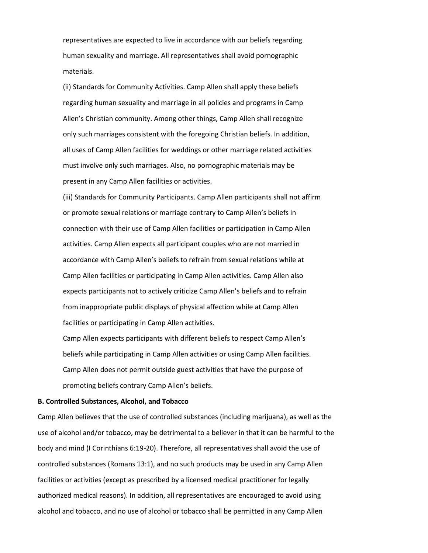representatives are expected to live in accordance with our beliefs regarding human sexuality and marriage. All representatives shall avoid pornographic materials.

(ii) Standards for Community Activities. Camp Allen shall apply these beliefs regarding human sexuality and marriage in all policies and programs in Camp Allen's Christian community. Among other things, Camp Allen shall recognize only such marriages consistent with the foregoing Christian beliefs. In addition, all uses of Camp Allen facilities for weddings or other marriage related activities must involve only such marriages. Also, no pornographic materials may be present in any Camp Allen facilities or activities.

(iii) Standards for Community Participants. Camp Allen participants shall not affirm or promote sexual relations or marriage contrary to Camp Allen's beliefs in connection with their use of Camp Allen facilities or participation in Camp Allen activities. Camp Allen expects all participant couples who are not married in accordance with Camp Allen's beliefs to refrain from sexual relations while at Camp Allen facilities or participating in Camp Allen activities. Camp Allen also expects participants not to actively criticize Camp Allen's beliefs and to refrain from inappropriate public displays of physical affection while at Camp Allen facilities or participating in Camp Allen activities.

Camp Allen expects participants with different beliefs to respect Camp Allen's beliefs while participating in Camp Allen activities or using Camp Allen facilities. Camp Allen does not permit outside guest activities that have the purpose of promoting beliefs contrary Camp Allen's beliefs.

#### **B. Controlled Substances, Alcohol, and Tobacco**

Camp Allen believes that the use of controlled substances (including marijuana), as well as the use of alcohol and/or tobacco, may be detrimental to a believer in that it can be harmful to the body and mind (I Corinthians 6:19-20). Therefore, all representatives shall avoid the use of controlled substances (Romans 13:1), and no such products may be used in any Camp Allen facilities or activities (except as prescribed by a licensed medical practitioner for legally authorized medical reasons). In addition, all representatives are encouraged to avoid using alcohol and tobacco, and no use of alcohol or tobacco shall be permitted in any Camp Allen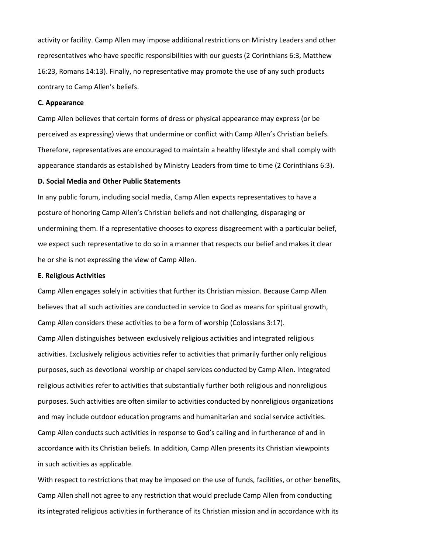activity or facility. Camp Allen may impose additional restrictions on Ministry Leaders and other representatives who have specific responsibilities with our guests (2 Corinthians 6:3, Matthew 16:23, Romans 14:13). Finally, no representative may promote the use of any such products contrary to Camp Allen's beliefs.

# **C. Appearance**

Camp Allen believes that certain forms of dress or physical appearance may express (or be perceived as expressing) views that undermine or conflict with Camp Allen's Christian beliefs. Therefore, representatives are encouraged to maintain a healthy lifestyle and shall comply with appearance standards as established by Ministry Leaders from time to time (2 Corinthians 6:3).

## **D. Social Media and Other Public Statements**

In any public forum, including social media, Camp Allen expects representatives to have a posture of honoring Camp Allen's Christian beliefs and not challenging, disparaging or undermining them. If a representative chooses to express disagreement with a particular belief, we expect such representative to do so in a manner that respects our belief and makes it clear he or she is not expressing the view of Camp Allen.

#### **E. Religious Activities**

Camp Allen engages solely in activities that further its Christian mission. Because Camp Allen believes that all such activities are conducted in service to God as means for spiritual growth, Camp Allen considers these activities to be a form of worship (Colossians 3:17). Camp Allen distinguishes between exclusively religious activities and integrated religious activities. Exclusively religious activities refer to activities that primarily further only religious purposes, such as devotional worship or chapel services conducted by Camp Allen. Integrated religious activities refer to activities that substantially further both religious and nonreligious purposes. Such activities are often similar to activities conducted by nonreligious organizations and may include outdoor education programs and humanitarian and social service activities. Camp Allen conducts such activities in response to God's calling and in furtherance of and in accordance with its Christian beliefs. In addition, Camp Allen presents its Christian viewpoints in such activities as applicable.

With respect to restrictions that may be imposed on the use of funds, facilities, or other benefits, Camp Allen shall not agree to any restriction that would preclude Camp Allen from conducting its integrated religious activities in furtherance of its Christian mission and in accordance with its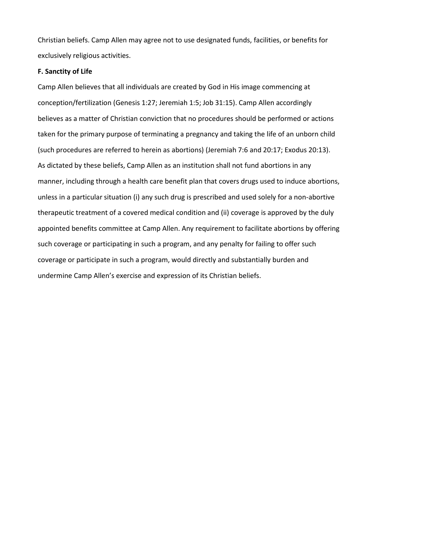Christian beliefs. Camp Allen may agree not to use designated funds, facilities, or benefits for exclusively religious activities.

# **F. Sanctity of Life**

Camp Allen believes that all individuals are created by God in His image commencing at conception/fertilization (Genesis 1:27; Jeremiah 1:5; Job 31:15). Camp Allen accordingly believes as a matter of Christian conviction that no procedures should be performed or actions taken for the primary purpose of terminating a pregnancy and taking the life of an unborn child (such procedures are referred to herein as abortions) (Jeremiah 7:6 and 20:17; Exodus 20:13). As dictated by these beliefs, Camp Allen as an institution shall not fund abortions in any manner, including through a health care benefit plan that covers drugs used to induce abortions, unless in a particular situation (i) any such drug is prescribed and used solely for a non-abortive therapeutic treatment of a covered medical condition and (ii) coverage is approved by the duly appointed benefits committee at Camp Allen. Any requirement to facilitate abortions by offering such coverage or participating in such a program, and any penalty for failing to offer such coverage or participate in such a program, would directly and substantially burden and undermine Camp Allen's exercise and expression of its Christian beliefs.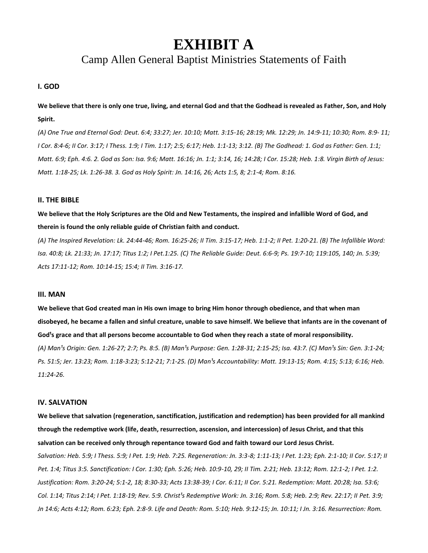# **EXHIBIT A**

# Camp Allen General Baptist Ministries Statements of Faith

# **I. GOD**

**We believe that there is only one true, living, and eternal God and that the Godhead is revealed as Father, Son, and Holy Spirit.**

*(A) One True and Eternal God: Deut. 6:4; 33:27; Jer. 10:10; Matt. 3:15-16; 28:19; Mk. 12:29; Jn. 14:9-11; 10:30; Rom. 8:9- 11; I Cor. 8:4-6; II Cor. 3:17; I Thess. 1:9; I Tim. 1:17; 2:5; 6:17; Heb. 1:1-13; 3:12. (B) The Godhead: 1. God as Father: Gen. 1:1; Matt. 6:9; Eph. 4:6. 2. God as Son: Isa. 9:6; Matt. 16:16; Jn. 1:1; 3:14, 16; 14:28; I Cor. 15:28; Heb. 1:8. Virgin Birth of Jesus: Matt. 1:18-25; Lk. 1:26-38. 3. God as Holy Spirit: Jn. 14:16, 26; Acts 1:5, 8; 2:1-4; Rom. 8:16.*

# **II. THE BIBLE**

**We believe that the Holy Scriptures are the Old and New Testaments, the inspired and infallible Word of God, and therein is found the only reliable guide of Christian faith and conduct.**

*(A) The Inspired Revelation: Lk. 24:44-46; Rom. 16:25-26; II Tim. 3:15-17; Heb. 1:1-2; II Pet. 1:20-21. (B) The Infallible Word: Isa. 40:8; Lk. 21:33; Jn. 17:17; Titus 1:2; I Pet.1:25. (C) The Reliable Guide: Deut. 6:6-9; Ps. 19:7-10; 119:105, 140; Jn. 5:39; Acts 17:11-12; Rom. 10:14-15; 15:4; II Tim. 3:16-17.*

#### **III. MAN**

**We believe that God created man in His own image to bring Him honor through obedience, and that when man disobeyed, he became a fallen and sinful creature, unable to save himself. We believe that infants are in the covenant of**  God's grace and that all persons become accountable to God when they reach a state of moral responsibility. (A) Man<sup>1</sup>s Origin: Gen. 1:26-27; 2:7; Ps. 8:5. (B) Man<sup>1</sup>s Purpose: Gen. 1:28-31; 2:15-25; Isa. 43:7. (C) Man<sup>1</sup>s Sin: Gen. 3:1-24; Ps. 51:5; Jer. 13:23; Rom. 1:18-3:23; 5:12-21; 7:1-25. (D) Man<sup>1</sup>s Accountability: Matt. 19:13-15; Rom. 4:15; 5:13; 6:16; Heb. *11:24-26.*

#### **IV. SALVATION**

**We believe that salvation (regeneration, sanctification, justification and redemption) has been provided for all mankind through the redemptive work (life, death, resurrection, ascension, and intercession) of Jesus Christ, and that this salvation can be received only through repentance toward God and faith toward our Lord Jesus Christ.** *Salvation: Heb. 5:9; I Thess. 5:9; I Pet. 1:9; Heb. 7:25. Regeneration: Jn. 3:3-8; 1:11-13; I Pet. 1:23; Eph. 2:1-10; II Cor. 5:17; II Pet. 1:4; Titus 3:5. Sanctification: I Cor. 1:30; Eph. 5:26; Heb. 10:9-10, 29; II Tim. 2:21; Heb. 13:12; Rom. 12:1-2; I Pet. 1:2. Justification: Rom. 3:20-24; 5:1-2, 18; 8:30-33; Acts 13:38-39; I Cor. 6:11; II Cor. 5:21. Redemption: Matt. 20:28; Isa. 53:6; Col. 1:14; Titus 2:14; I Pet. 1:18-19; Rev. 5:9. Christ<sup>1</sup>s Redemptive Work: Jn. 3:16; Rom. 5:8; Heb. 2:9; Rev. 22:17; II Pet. 3:9; Jn 14:6; Acts 4:12; Rom. 6:23; Eph. 2:8-9. Life and Death: Rom. 5:10; Heb. 9:12-15; Jn. 10:11; I Jn. 3:16. Resurrection: Rom.*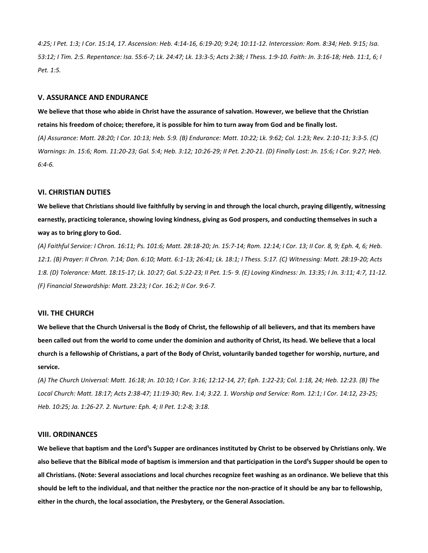*4:25; I Pet. 1:3; I Cor. 15:14, 17. Ascension: Heb. 4:14-16, 6:19-20; 9:24; 10:11-12. Intercession: Rom. 8:34; Heb. 9:15; Isa. 53:12; I Tim. 2:5. Repentance: Isa. 55:6-7; Lk. 24:47; Lk. 13:3-5; Acts 2:38; I Thess. 1:9-10. Faith: Jn. 3:16-18; Heb. 11:1, 6; I Pet. 1:5.*

#### **V. ASSURANCE AND ENDURANCE**

**We believe that those who abide in Christ have the assurance of salvation. However, we believe that the Christian retains his freedom of choice; therefore, it is possible for him to turn away from God and be finally lost.** *(A) Assurance: Matt. 28:20; I Cor. 10:13; Heb. 5:9. (B) Endurance: Matt. 10:22; Lk. 9:62; Col. 1:23; Rev. 2:10-11; 3:3-5. (C) Warnings: Jn. 15:6; Rom. 11:20-23; Gal. 5:4; Heb. 3:12; 10:26-29; II Pet. 2:20-21. (D) Finally Lost: Jn. 15:6; I Cor. 9:27; Heb. 6:4-6.*

# **VI. CHRISTIAN DUTIES**

**We believe that Christians should live faithfully by serving in and through the local church, praying diligently, witnessing earnestly, practicing tolerance, showing loving kindness, giving as God prospers, and conducting themselves in such a way as to bring glory to God.**

*(A) Faithful Service: I Chron. 16:11; Ps. 101:6; Matt. 28:18-20; Jn. 15:7-14; Rom. 12:14; I Cor. 13; II Cor. 8, 9; Eph. 4, 6; Heb. 12:1. (B) Prayer: II Chron. 7:14; Dan. 6:10; Matt. 6:1-13; 26:41; Lk. 18:1; I Thess. 5:17. (C) Witnessing: Matt. 28:19-20; Acts 1:8. (D) Tolerance: Matt. 18:15-17; Lk. 10:27; Gal. 5:22-23; II Pet. 1:5- 9. (E) Loving Kindness: Jn. 13:35; I Jn. 3:11; 4:7, 11-12. (F) Financial Stewardship: Matt. 23:23; I Cor. 16:2; II Cor. 9:6-7.*

# **VII. THE CHURCH**

**We believe that the Church Universal is the Body of Christ, the fellowship of all believers, and that its members have been called out from the world to come under the dominion and authority of Christ, its head. We believe that a local church is a fellowship of Christians, a part of the Body of Christ, voluntarily banded together for worship, nurture, and service.**

*(A) The Church Universal: Matt. 16:18; Jn. 10:10; I Cor. 3:16; 12:12-14, 27; Eph. 1:22-23; Col. 1:18, 24; Heb. 12:23. (B) The Local Church: Matt. 18:17; Acts 2:38-47; 11:19-30; Rev. 1:4; 3:22. 1. Worship and Service: Rom. 12:1; I Cor. 14:12, 23-25; Heb. 10:25; Ja. 1:26-27. 2. Nurture: Eph. 4; II Pet. 1:2-8; 3:18.*

#### **VIII. ORDINANCES**

We believe that baptism and the Lord<sup>1</sup>s Supper are ordinances instituted by Christ to be observed by Christians only. We also believe that the Biblical mode of baptism is immersion and that participation in the Lord<sup>1</sup>s Supper should be open to **all Christians. (Note: Several associations and local churches recognize feet washing as an ordinance. We believe that this should be left to the individual, and that neither the practice nor the non-practice of it should be any bar to fellowship, either in the church, the local association, the Presbytery, or the General Association.**